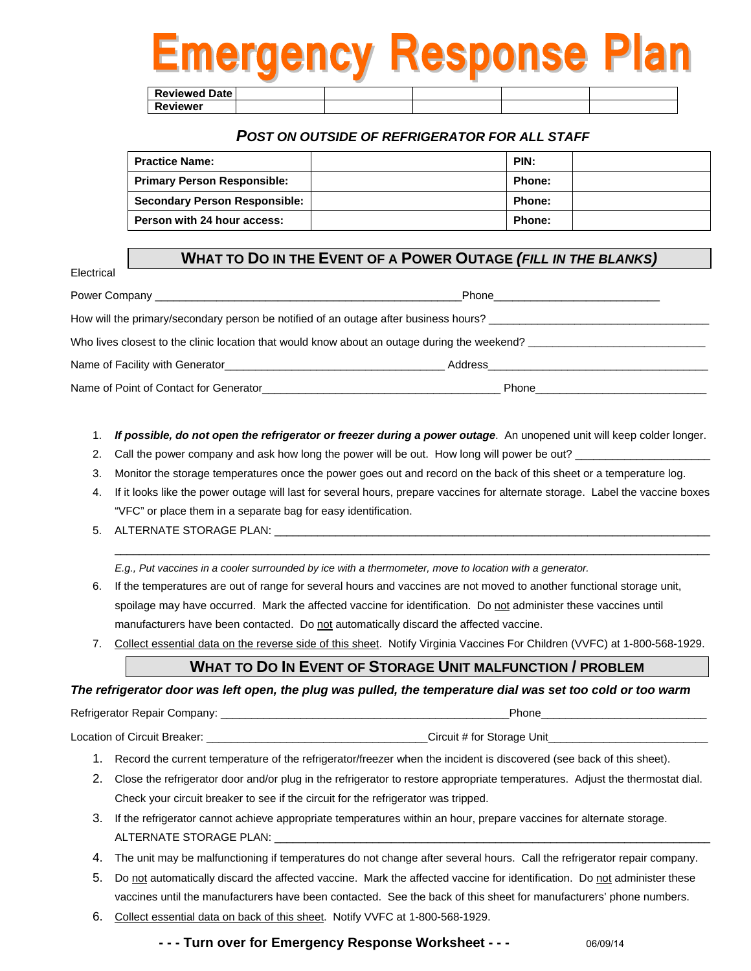# nergency Response Plan

**Reviewed Date Reviewer**

Electrical

#### *POST ON OUTSIDE OF REFRIGERATOR FOR ALL STAFF*

| <b>Practice Name:</b>                | PIN:          |  |
|--------------------------------------|---------------|--|
| <b>Primary Person Responsible:</b>   | <b>Phone:</b> |  |
| <b>Secondary Person Responsible:</b> | Phone:        |  |
| Person with 24 hour access:          | <b>Phone:</b> |  |

#### **WHAT TO DO IN THE EVENT OF A POWER OUTAGE** *(FILL IN THE BLANKS)*

## Power Company **and Company** and Company and Company and Company and Company and Company and Company and Company and Company and Company and Company and Company and Company and Company and Company and Company and Company an How will the primary/secondary person be notified of an outage after business hours? Who lives closest to the clinic location that would know about an outage during the weekend? **\_\_\_\_\_\_\_\_\_\_\_\_\_\_\_\_\_\_\_\_\_\_\_\_\_\_\_\_\_**  Name of Facility with Generator\_\_\_\_\_\_\_\_\_\_\_\_\_\_\_\_\_\_\_\_\_\_\_\_\_\_\_\_\_\_\_\_\_\_\_\_ Address\_\_\_\_\_\_\_\_\_\_\_\_\_\_\_\_\_\_\_\_\_\_\_\_\_\_\_\_\_\_\_\_\_\_\_\_ Name of Point of Contact for Generator\_\_\_\_\_\_\_\_\_\_\_\_\_\_\_\_\_\_\_\_\_\_\_\_\_\_\_\_\_\_\_\_\_\_\_\_\_\_\_ Phone\_\_\_\_\_\_\_\_\_\_\_\_\_\_\_\_\_\_\_\_\_\_\_\_\_\_\_\_

1. *If possible, do not open the refrigerator or freezer during a power outage*. An unopened unit will keep colder longer.

2. Call the power company and ask how long the power will be out. How long will power be out?

3. Monitor the storage temperatures once the power goes out and record on the back of this sheet or a temperature log.

4. If it looks like the power outage will last for several hours, prepare vaccines for alternate storage. Label the vaccine boxes "VFC" or place them in a separate bag for easy identification.

 $\_$  ,  $\_$  ,  $\_$  ,  $\_$  ,  $\_$  ,  $\_$  ,  $\_$  ,  $\_$  ,  $\_$  ,  $\_$  ,  $\_$  ,  $\_$  ,  $\_$  ,  $\_$  ,  $\_$  ,  $\_$  ,  $\_$  ,  $\_$  ,  $\_$  ,  $\_$  ,  $\_$  ,  $\_$  ,  $\_$  ,  $\_$  ,  $\_$  ,  $\_$  ,  $\_$  ,  $\_$  ,  $\_$  ,  $\_$  ,  $\_$  ,  $\_$  ,  $\_$  ,  $\_$  ,  $\_$  ,  $\_$  ,  $\_$  ,

5. ALTERNATE STORAGE PLAN:

*E.g., Put vaccines in a cooler surrounded by ice with a thermometer, move to location with a generator.*

- 6. If the temperatures are out of range for several hours and vaccines are not moved to another functional storage unit, spoilage may have occurred. Mark the affected vaccine for identification. Do not administer these vaccines until manufacturers have been contacted. Do not automatically discard the affected vaccine.
- 7. Collect essential data on the reverse side of this sheet. Notify Virginia Vaccines For Children (VVFC) at 1-800-568-1929.

#### **WHAT TO DO IN EVENT OF STORAGE UNIT MALFUNCTION / PROBLEM**

*The refrigerator door was left open, the plug was pulled, the temperature dial was set too cold or too warm*

Refrigerator Repair Company: **Example 2018** and 2019 and 2019 and 2019 and 2019 and 2019 and 2019 and 2019 and 20

Location of Circuit Breaker: \_\_\_\_\_\_\_\_\_\_\_\_\_\_\_\_\_\_\_\_\_\_\_\_\_\_\_\_\_\_\_\_\_\_\_\_Circuit # for Storage Unit\_\_\_\_\_\_\_\_\_\_\_\_\_\_\_\_\_\_\_\_\_\_\_\_\_\_

- 1. Record the current temperature of the refrigerator/freezer when the incident is discovered (see back of this sheet).
- 2. Close the refrigerator door and/or plug in the refrigerator to restore appropriate temperatures. Adjust the thermostat dial. Check your circuit breaker to see if the circuit for the refrigerator was tripped.
- 3. If the refrigerator cannot achieve appropriate temperatures within an hour, prepare vaccines for alternate storage. ALTERNATE STORAGE PLAN:
- 4. The unit may be malfunctioning if temperatures do not change after several hours. Call the refrigerator repair company.
- 5. Do not automatically discard the affected vaccine. Mark the affected vaccine for identification. Do not administer these vaccines until the manufacturers have been contacted. See the back of this sheet for manufacturers' phone numbers.
- 6. Collect essential data on back of this sheet. Notify VVFC at 1-800-568-1929.

**- - - Turn over for Emergency Response Worksheet - - -** 06/09/14